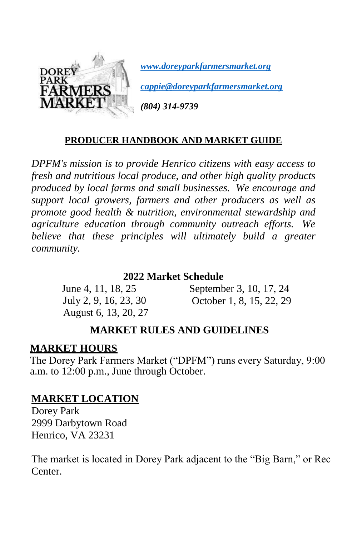

*[www.doreyparkfarmersmarket.org](http://www.doreyparkfarmersmarket.org/)*

*[cappie@doreyparkfarmersmarket.org](mailto:cappie@doreyparkfarmersmarket.org)*

*(804) 314-9739*

#### **PRODUCER HANDBOOK AND MARKET GUIDE**

*DPFM's mission is to provide Henrico citizens with easy access to fresh and nutritious local produce, and other high quality products produced by local farms and small businesses. We encourage and support local growers, farmers and other producers as well as promote good health & nutrition, environmental stewardship and agriculture education through community outreach efforts. We believe that these principles will ultimately build a greater community.* 

#### **2022 Market Schedule**

June 4, 11, 18, 25 July 2, 9, 16, 23, 30 August 6, 13, 20, 27

September 3, 10, 17, 24 October 1, 8, 15, 22, 29

#### **MARKET RULES AND GUIDELINES**

#### **MARKET HOURS**

The Dorey Park Farmers Market ("DPFM") runs every Saturday, 9:00 a.m. to 12:00 p.m., June through October.

#### **MARKET LOCATION**

Dorey Park 2999 Darbytown Road Henrico, VA 23231

The market is located in Dorey Park adjacent to the "Big Barn," or Rec Center.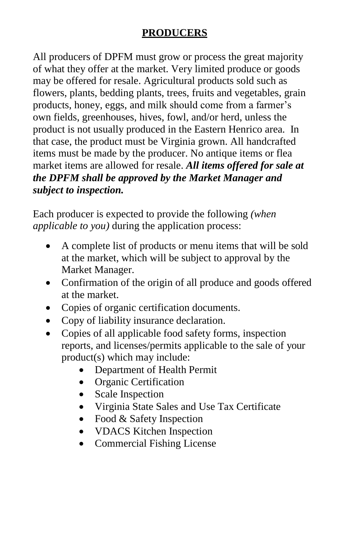#### **PRODUCERS**

All producers of DPFM must grow or process the great majority of what they offer at the market. Very limited produce or goods may be offered for resale. Agricultural products sold such as flowers, plants, bedding plants, trees, fruits and vegetables, grain products, honey, eggs, and milk should come from a farmer's own fields, greenhouses, hives, fowl, and/or herd, unless the product is not usually produced in the Eastern Henrico area. In that case, the product must be Virginia grown. All handcrafted items must be made by the producer. No antique items or flea market items are allowed for resale. *All items offered for sale at the DPFM shall be approved by the Market Manager and subject to inspection.*

Each producer is expected to provide the following *(when applicable to you)* during the application process:

- A complete list of products or menu items that will be sold at the market, which will be subject to approval by the Market Manager.
- Confirmation of the origin of all produce and goods offered at the market.
- Copies of organic certification documents.
- Copy of liability insurance declaration.
- Copies of all applicable food safety forms, inspection reports, and licenses/permits applicable to the sale of your product(s) which may include:
	- Department of Health Permit
	- Organic Certification
	- Scale Inspection
	- Virginia State Sales and Use Tax Certificate
	- Food & Safety Inspection
	- **VDACS** Kitchen Inspection
	- Commercial Fishing License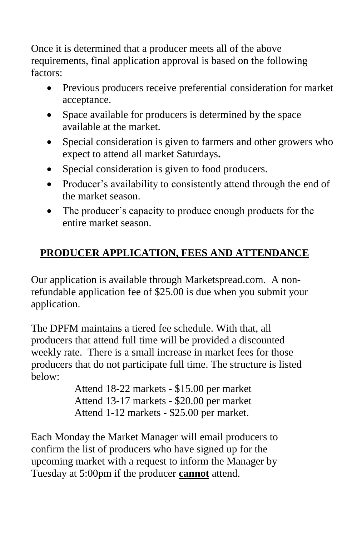Once it is determined that a producer meets all of the above requirements, final application approval is based on the following factors:

- Previous producers receive preferential consideration for market acceptance.
- Space available for producers is determined by the space available at the market.
- Special consideration is given to farmers and other growers who expect to attend all market Saturdays**.**
- Special consideration is given to food producers.
- Producer's availability to consistently attend through the end of the market season.
- The producer's capacity to produce enough products for the entire market season.

# **PRODUCER APPLICATION, FEES AND ATTENDANCE**

Our application is available through Marketspread.com. A nonrefundable application fee of \$25.00 is due when you submit your application.

The DPFM maintains a tiered fee schedule. With that, all producers that attend full time will be provided a discounted weekly rate. There is a small increase in market fees for those producers that do not participate full time. The structure is listed below:

> Attend 18-22 markets - \$15.00 per market Attend 13-17 markets - \$20.00 per market Attend 1-12 markets - \$25.00 per market.

Each Monday the Market Manager will email producers to confirm the list of producers who have signed up for the upcoming market with a request to inform the Manager by Tuesday at 5:00pm if the producer **cannot** attend.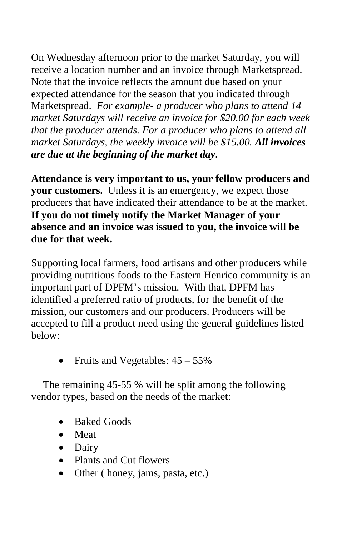On Wednesday afternoon prior to the market Saturday, you will receive a location number and an invoice through Marketspread. Note that the invoice reflects the amount due based on your expected attendance for the season that you indicated through Marketspread. *For example- a producer who plans to attend 14 market Saturdays will receive an invoice for \$20.00 for each week that the producer attends. For a producer who plans to attend all market Saturdays, the weekly invoice will be \$15.00. All invoices are due at the beginning of the market day***.** 

**Attendance is very important to us, your fellow producers and your customers.** Unless it is an emergency, we expect those producers that have indicated their attendance to be at the market. **If you do not timely notify the Market Manager of your absence and an invoice was issued to you, the invoice will be due for that week.**

Supporting local farmers, food artisans and other producers while providing nutritious foods to the Eastern Henrico community is an important part of DPFM's mission. With that, DPFM has identified a preferred ratio of products, for the benefit of the mission, our customers and our producers. Producers will be accepted to fill a product need using the general guidelines listed below:

Fruits and Vegetables: 45 – 55%

The remaining 45-55 % will be split among the following vendor types, based on the needs of the market:

- Baked Goods
- Meat
- Dairy
- Plants and Cut flowers
- Other ( honey, jams, pasta, etc.)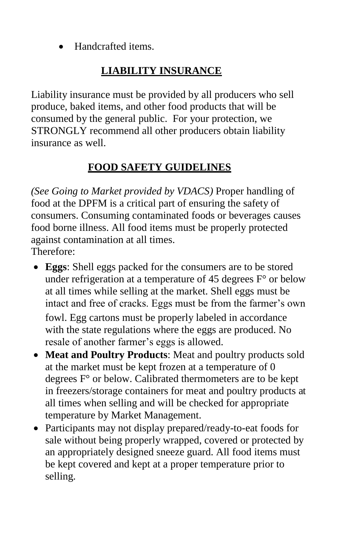Handcrafted items.

# **LIABILITY INSURANCE**

Liability insurance must be provided by all producers who sell produce, baked items, and other food products that will be consumed by the general public. For your protection, we STRONGLY recommend all other producers obtain liability insurance as well.

# **FOOD SAFETY GUIDELINES**

*(See Going to Market provided by VDACS)* Proper handling of food at the DPFM is a critical part of ensuring the safety of consumers. Consuming contaminated foods or beverages causes food borne illness. All food items must be properly protected against contamination at all times. Therefore:

- **Eggs**: Shell eggs packed for the consumers are to be stored under refrigeration at a temperature of 45 degrees  $F^{\circ}$  or below at all times while selling at the market. Shell eggs must be intact and free of cracks. Eggs must be from the farmer's own fowl. Egg cartons must be properly labeled in accordance with the state regulations where the eggs are produced. No resale of another farmer's eggs is allowed.
- **Meat and Poultry Products**: Meat and poultry products sold at the market must be kept frozen at a temperature of 0 degrees F° or below. Calibrated thermometers are to be kept in freezers/storage containers for meat and poultry products at all times when selling and will be checked for appropriate temperature by Market Management.
- Participants may not display prepared/ready-to-eat foods for sale without being properly wrapped, covered or protected by an appropriately designed sneeze guard. All food items must be kept covered and kept at a proper temperature prior to selling.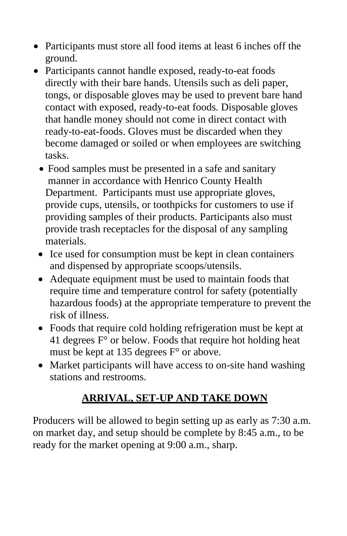- Participants must store all food items at least 6 inches off the ground.
- Participants cannot handle exposed, ready-to-eat foods directly with their bare hands. Utensils such as deli paper, tongs, or disposable gloves may be used to prevent bare hand contact with exposed, ready-to-eat foods. Disposable gloves that handle money should not come in direct contact with ready-to-eat-foods. Gloves must be discarded when they become damaged or soiled or when employees are switching tasks.
	- Food samples must be presented in a safe and sanitary manner in accordance with Henrico County Health Department. Participants must use appropriate gloves, provide cups, utensils, or toothpicks for customers to use if providing samples of their products. Participants also must provide trash receptacles for the disposal of any sampling materials.
	- Ice used for consumption must be kept in clean containers and dispensed by appropriate scoops/utensils.
	- Adequate equipment must be used to maintain foods that require time and temperature control for safety (potentially hazardous foods) at the appropriate temperature to prevent the risk of illness.
	- Foods that require cold holding refrigeration must be kept at 41 degrees  $F<sup>o</sup>$  or below. Foods that require hot holding heat must be kept at 135 degrees  $F^{\circ}$  or above.
	- Market participants will have access to on-site hand washing stations and restrooms.

### **ARRIVAL, SET-UP AND TAKE DOWN**

Producers will be allowed to begin setting up as early as 7:30 a.m. on market day, and setup should be complete by 8:45 a.m., to be ready for the market opening at 9:00 a.m., sharp.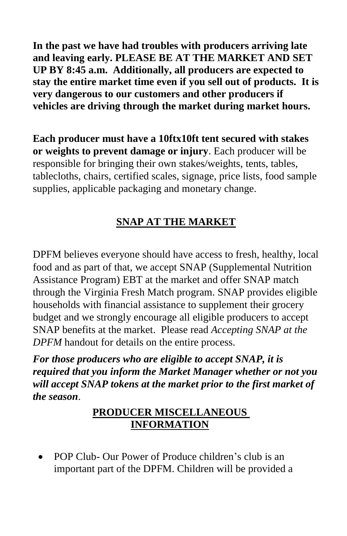**In the past we have had troubles with producers arriving late and leaving early. PLEASE BE AT THE MARKET AND SET UP BY 8:45 a.m. Additionally, all producers are expected to stay the entire market time even if you sell out of products. It is very dangerous to our customers and other producers if vehicles are driving through the market during market hours.** 

**Each producer must have a 10ftx10ft tent secured with stakes or weights to prevent damage or injury**. Each producer will be responsible for bringing their own stakes/weights, tents, tables, tablecloths, chairs, certified scales, signage, price lists, food sample supplies, applicable packaging and monetary change.

# **SNAP AT THE MARKET**

DPFM believes everyone should have access to fresh, healthy, local food and as part of that, we accept [SNAP](https://www.fns.usda.gov/snap/eligibility) (Supplemental Nutrition Assistance Program) EBT at the [market](https://www.fns.usda.gov/snap/eligibility) and offer [SNAP](https://www.fns.usda.gov/snap/eligibility) match through the Virginia Fresh Match [program.](https://u6565154.ct.sendgrid.net/wf/click?upn=worXPZt8G-2BhIQXfio4vVkJknP-2FdFiXNNOvKd54JkQYuPs1Q3VADOdLasKPlDhtniJ-2Fa731-2Fu-2F2RbAnIc6neZog-3D-3D_l8Icoe3YUsMunPkCaIZzjurZnSEIStV6KqQUvNapjXd-2FwyitaaarUtV17D-2B3zg3G13Jg-2BjjsVrBLwS-2FSOkx6g4c64yoO1Mcn0rKc85gSnaRMl1R1ZSsFj22ysChaJ0U-2FYwV1zDcYFxZi2PDiVWL5jLalkATy20BuCEHltz80paOnM32cnM98sfAuJ3Fcl40D53rNCJeKD9BcaEh565bdewdB-2Bo5IOdC5CH6dPmCV6r8iCsar-2BntcPASz7hzF7VrBMFvX-2FE4u7UZCBkbarZGVh3LFz6UcK4-2Bw3MHJgrSWM3jtJQ4fyy7EKNElX8FiRtSmxtK3xV0U9a6y4AfHGRrQDoXTUzv3LhWSMox-2F4shFfGFqw8fLg-2FLjukJGRR-2BmiLXhGg0-2F6OZ868CuyVzGc-2Fk1LQye-2BmGx5lXCKrRWjtTr2UXK9SO5nJmd8y7Rrx3Cht3TNT4IXetm7ilLdYTj3j-2BSTEsGq6EOIxR-2FdWxm20PWawrkm7FuucJDG-2Fp5t-2B2du2-2FaArktk3iXWa-2BRQNa43gxqlYw3AMrwcse-2F4N3-2BFSIu7LtulqdLex4dzPuXGl058wEO) SNAP provides eligible households with financial assistance to supplement their grocery budget and we strongly encourage all eligible producers to accept SNAP benefits at the market. Please read *Accepting SNAP at the DPFM* handout for details on the entire process.

*For those producers who are eligible to accept SNAP, it is required that you inform the Market Manager whether or not you will accept SNAP tokens at the market prior to the first market of the season*.

#### **PRODUCER MISCELLANEOUS INFORMATION**

 POP Club- Our Power of Produce children's club is an important part of the DPFM. Children will be provided a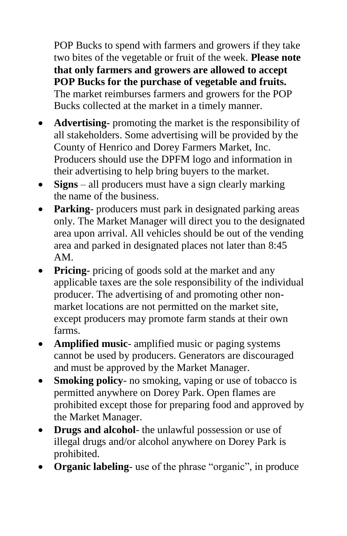POP Bucks to spend with farmers and growers if they take two bites of the vegetable or fruit of the week. **Please note that only farmers and growers are allowed to accept POP Bucks for the purchase of vegetable and fruits.** The market reimburses farmers and growers for the POP Bucks collected at the market in a timely manner.

- **Advertising** promoting the market is the responsibility of all stakeholders. Some advertising will be provided by the County of Henrico and Dorey Farmers Market, Inc. Producers should use the DPFM logo and information in their advertising to help bring buyers to the market.
- **Signs** all producers must have a sign clearly marking the name of the business.
- **Parking** producers must park in designated parking areas only. The Market Manager will direct you to the designated area upon arrival. All vehicles should be out of the vending area and parked in designated places not later than 8:45 AM.
- **Pricing** pricing of goods sold at the market and any applicable taxes are the sole responsibility of the individual producer. The advertising of and promoting other nonmarket locations are not permitted on the market site, except producers may promote farm stands at their own farms.
- **Amplified music** amplified music or paging systems cannot be used by producers. Generators are discouraged and must be approved by the Market Manager.
- **Smoking policy-** no smoking, vaping or use of tobacco is permitted anywhere on Dorey Park. Open flames are prohibited except those for preparing food and approved by the Market Manager.
- **Drugs and alcohol** the unlawful possession or use of illegal drugs and/or alcohol anywhere on Dorey Park is prohibited.
- **Organic labeling-** use of the phrase "organic", in produce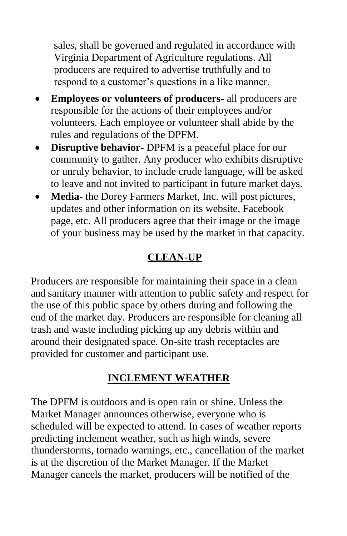sales, shall be governed and regulated in accordance with Virginia Department of Agriculture regulations. All producers are required to advertise truthfully and to respond to a customer's questions in a like manner.

- **Employees or volunteers of producers** all producers are responsible for the actions of their employees and/or volunteers. Each employee or volunteer shall abide by the rules and regulations of the DPFM.
- **Disruptive behavior** DPFM is a peaceful place for our community to gather. Any producer who exhibits disruptive or unruly behavior, to include crude language, will be asked to leave and not invited to participant in future market days.
- **Media** the Dorey Farmers Market, Inc. will post pictures, updates and other information on its website, Facebook page, etc. All producers agree that their image or the image of your business may be used by the market in that capacity.

# **CLEAN-UP**

Producers are responsible for maintaining their space in a clean and sanitary manner with attention to public safety and respect for the use of this public space by others during and following the end of the market day. Producers are responsible for cleaning all trash and waste including picking up any debris within and around their designated space. On-site trash receptacles are provided for customer and participant use.

### **INCLEMENT WEATHER**

The DPFM is outdoors and is open rain or shine. Unless the Market Manager announces otherwise, everyone who is scheduled will be expected to attend. In cases of weather reports predicting inclement weather, such as high winds, severe thunderstorms, tornado warnings, etc., cancellation of the market is at the discretion of the Market Manager. If the Market Manager cancels the market, producers will be notified of the